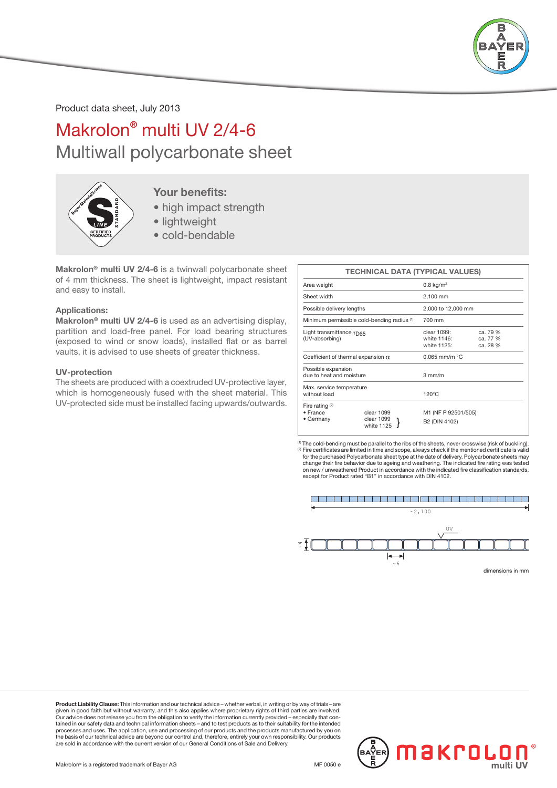

Product data sheet, July 2013

# Makrolon® multi UV 2/4-6 Multiwall polycarbonate sheet



### Your benefits:

- high impact strength
- lightweight
- cold-bendable

Makrolon® multi UV 2/4-6 is a twinwall polycarbonate sheet of 4 mm thickness. The sheet is lightweight, impact resistant and easy to install.

#### Applications:

Makrolon<sup>®</sup> multi UV 2/4-6 is used as an advertising display. partition and load-free panel. For load bearing structures (exposed to wind or snow loads), installed flat or as barrel vaults, it is advised to use sheets of greater thickness.

#### UV-protection

The sheets are produced with a coextruded UV-protective layer, which is homogeneously fused with the sheet material. This UV-protected side must be installed facing upwards/outwards.

|                                                           | <b>TECHNICAL DATA (TYPICAL VALUES)</b> |                                           |                                  |
|-----------------------------------------------------------|----------------------------------------|-------------------------------------------|----------------------------------|
| Area weight                                               |                                        | $0.8 \text{ kg/m}^2$                      |                                  |
| Sheet width                                               |                                        | 2,100 mm                                  |                                  |
| Possible delivery lengths                                 |                                        | 2,000 to 12,000 mm                        |                                  |
| Minimum permissible cold-bending radius (1)               |                                        | 700 mm                                    |                                  |
| Light transmittance $\tau_{\text{D65}}$<br>(UV-absorbing) |                                        | clear 1099:<br>white 1146:<br>white 1125: | ca. 79 %<br>ca. 77 %<br>ca. 28 % |
| Coefficient of thermal expansion $\alpha$                 |                                        | $0.065$ mm/m $°C$                         |                                  |
| Possible expansion<br>due to heat and moisture            |                                        | $3 \text{ mm/m}$                          |                                  |
| Max. service temperature<br>without load                  |                                        | $120^{\circ}$ C                           |                                  |
| Fire rating $(2)$<br>· France<br>• Germany                | clear 1099<br>clear 1099<br>white 1125 | M1 (NF P 92501/505)<br>B2 (DIN 4102)      |                                  |

(1) The cold-bending must be parallel to the ribs of the sheets, never crosswise (risk of buckling). (2) Fire certificates are limited in time and scope, always check if the mentioned certificate is valid for the purchased Polycarbonate sheet type at the date of delivery. Polycarbonate sheets may change their fire behavior due to ageing and weathering. The indicated fire rating was tested on new / unweathered Product in accordance with the indicated fire classification standards, except for Product rated "B1" in accordance with DIN 4102.



Product Liability Clause: This information and our technical advice – whether verbal, in writing or by way of trials – are given in good faith but without warranty, and this also applies where proprietary rights of third parties are involved.<br>Our advice does not release you from the obligation to verify the information currently provided – esp processes and uses. The application, use and processing of our products and the products manufactured by you on the basis of our technical advice are beyond our control and, therefore, entirely your own responsibility. Our products are sold in accordance with the current version of our General Conditions of Sale and Delivery.